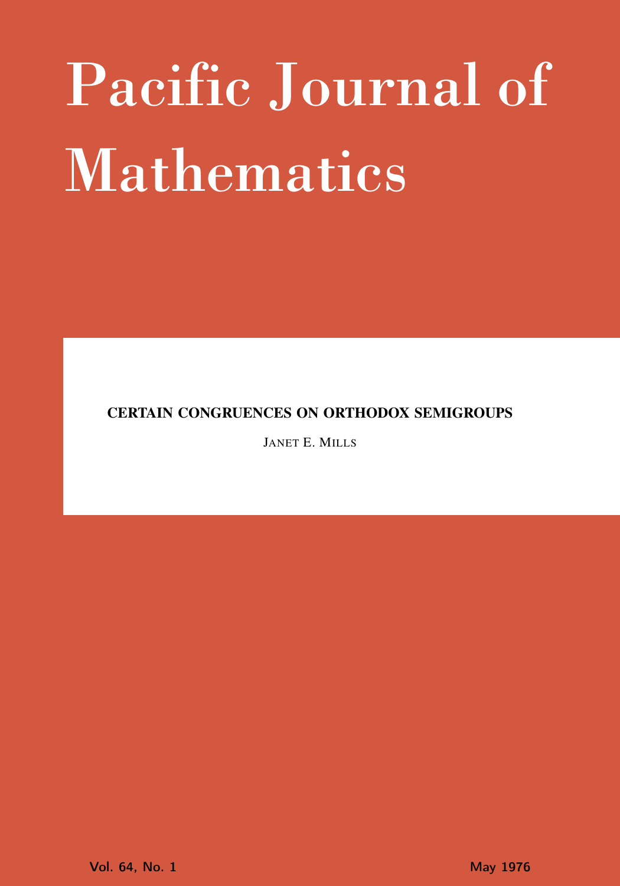# Pacific Journal of Mathematics

CERTAIN CONGRUENCES ON ORTHODOX SEMIGROUPS

JANET E. MILLS

**Vol. 64, No. 1** May 1976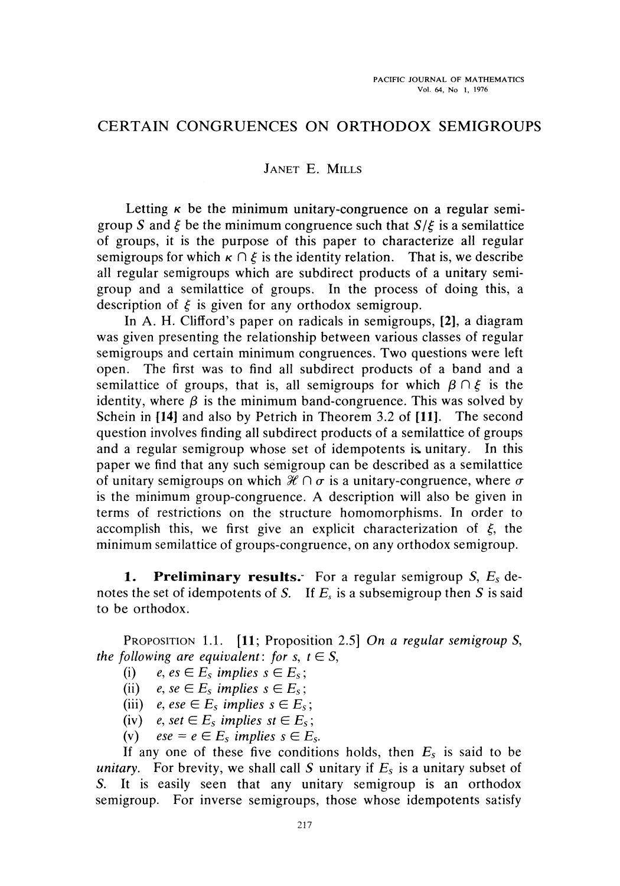## CERTAIN CONGRUENCES ON ORTHODOX SEMIGROUPS

### JANET E. MILLS

Letting  $\kappa$  be the minimum unitary-congruence on a regular semigroup *S* and *ξ* be the minimum congruence such that *S/ξ* is a semilattice of groups, it is the purpose of this paper to characterize all regular semigroups for which  $\kappa \cap \xi$  is the identity relation. That is, we describe all regular semigroups which are subdirect products of a unitary semi group and a semilattice of groups. In the process of doing this, a description of *ξ* is given for any orthodox semigroup.

In A. H. Clifford's paper on radicals in semigroups, **[2],** a diagram was given presenting the relationship between various classes of regular semigroups and certain minimum congruences. Two questions were left open. The first was to find all subdirect products of a band and a semilattice of groups, that is, all semigroups for which  $\beta \cap \xi$  is the identity, where  $\beta$  is the minimum band-congruence. This was solved by Schein in **{14]** and also by Petrich in Theorem 3.2 of **[11].** The second question involves finding all subdirect products of a semilattice of groups and a regular semigroup whose set of idempotents is unitary. In this paper we find that any such semigroup can be described as a semilattice of unitary semigroups on which *ffl* Π *σ* is a unitary-congruence, where *σ* is the minimum group-congruence. A description will also be given in terms of restrictions on the structure homomorphisms. In order to accomplish this, we first give an explicit characterization of *ξ,* the minimum semilattice of groups-congruence, on any orthodox semigroup.

**1. Preliminary results."** For a regular semigroup S, *E<sup>s</sup>* de notes the set of idempotents of 5. If *E<sup>s</sup>* is a subsemigroup then *S* is said to be orthodox.

PROPOSITION 1.1. **[11;** Proposition 2.5] *On a regular semigroup* S, *the following are equivalent: for s,*  $t \in S$ *,* 

- (i)  $e, es \in E_s$  implies  $s \in E_s$ ;
- (ii)  $e, se \in E_s$  implies  $s \in E_s$ ;
- (iii)  $e, ese \in E_s$  *implies*  $s \in E_s$
- (iv)  $e$ , set  $\in E_s$  implies st  $\in E_s$ ;
- (v)  $ese = e \in E_s$  implies  $s \in E_s$ .

If any one of these five conditions holds, then  $E_s$  is said to be *unitary.* For brevity, we shall call *S* unitary if *E<sup>s</sup>* is a unitary subset of *S.* It is easily seen that any unitary semigroup is an orthodox semigroup. For inverse semigroups, those whose idempotents satisfy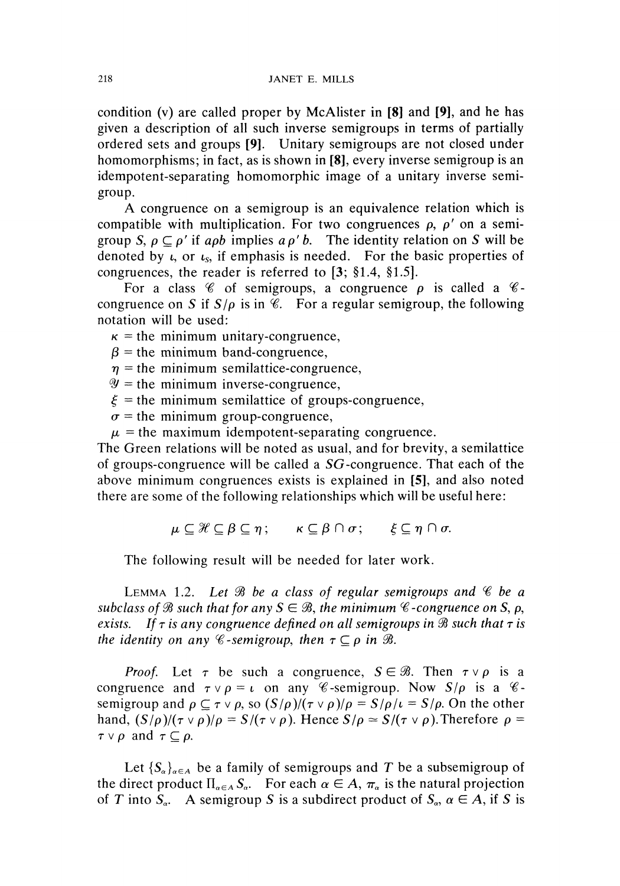condition (v) are called proper by McAlister in [8] and [9], and he has given a description of all such inverse semigroups in terms of partially ordered sets and groups [9]. Unitary semigroups are not closed under homomorphisms; in fact, as is shown in [8], every inverse semigroup is an idempotent-separating homomorphic image of a unitary inverse semi group.

A congruence on a semigroup is an equivalence relation which is compatible with multiplication. For two congruences  $\rho$ ,  $\rho'$  on a semigroup S,  $\rho \subseteq \rho'$  if apb implies a  $\rho'$  b. The identity relation on S will be denoted by  $\iota$ , or  $\iota$ <sub>s</sub>, if emphasis is needed. For the basic properties of congruences, the reader is referred to [3; §1.4, §1.5].

For a class  $\mathscr C$  of semigroups, a congruence  $\rho$  is called a  $\mathscr C$ congruence on *S* if  $S/\rho$  is in  $\mathscr C$ . For a regular semigroup, the following notation will be used:

 $\kappa$  = the minimum unitary-congruence,

 $\beta$  = the minimum band-congruence,

 $\eta$  = the minimum semilattice-congruence,

 $\mathscr{Y}$  = the minimum inverse-congruence,

 $\xi$  = the minimum semilattice of groups-congruence,

 $\sigma$  = the minimum group-congruence,

 $\mu$  = the maximum idempotent-separating congruence.

The Green relations will be noted as usual, and for brevity, a semilattice of groups-congruence will be called a SG-congruence. That each of the above minimum congruences exists is explained in [5], and also noted there are some of the following relationships which will be useful here:

$$
\mu \subseteq \mathcal{H} \subseteq \beta \subseteq \eta \, ; \qquad \kappa \subseteq \beta \cap \sigma \, ; \qquad \xi \subseteq \eta \cap \sigma.
$$

The following result will be needed for later work.

LEMMA 1.2. *Let 0ϊ be a class of regular semigroups and % be a subclass of*  $\mathcal{B}$  *such that for any S*  $\in$   $\mathcal{B}$ *, the minimum*  $\mathcal{C}$ *-congruence on S*, *p*, *exists.* If τ is any congruence defined on all semigroups in **B** such that τ is *the identity on any*  $\mathscr C$ -semigroup, then  $\tau \subseteq \rho$  in  $\mathscr B$ .

*Proof.* Let  $\tau$  be such a congruence,  $S \in \mathcal{B}$ . Then  $\tau \vee \rho$  is a congruence and  $\tau \vee \rho = \iota$  on any  $\mathscr C$ -semigroup. Now  $S/\rho$  is a  $\mathscr C$ semigroup and  $\rho \subseteq \tau \vee \rho$ , so  $(S/\rho)/(\tau \vee \rho)/\rho = S/\rho/\tau = S/\rho$ . On the other hand,  $(S/\rho)/(\tau \vee \rho)/\rho = S/(\tau \vee \rho)$ . Hence  $S/\rho \simeq S/(\tau \vee \rho)$ . Therefore  $\rho = \rho$  $\tau \vee \rho$  and  $\tau \subseteq \rho$ .

Let  $\{S_\alpha\}_{\alpha \in A}$  be a family of semigroups and T be a subsemigroup of the direct product  $\Pi_{\alpha \in A} S_{\alpha}$ . For each  $\alpha \in A$ ,  $\pi_{\alpha}$  is the natural projection of *T* into  $S_\alpha$ . A semigroup *S* is a subdirect product of  $S_\alpha$ ,  $\alpha \in A$ , if *S* is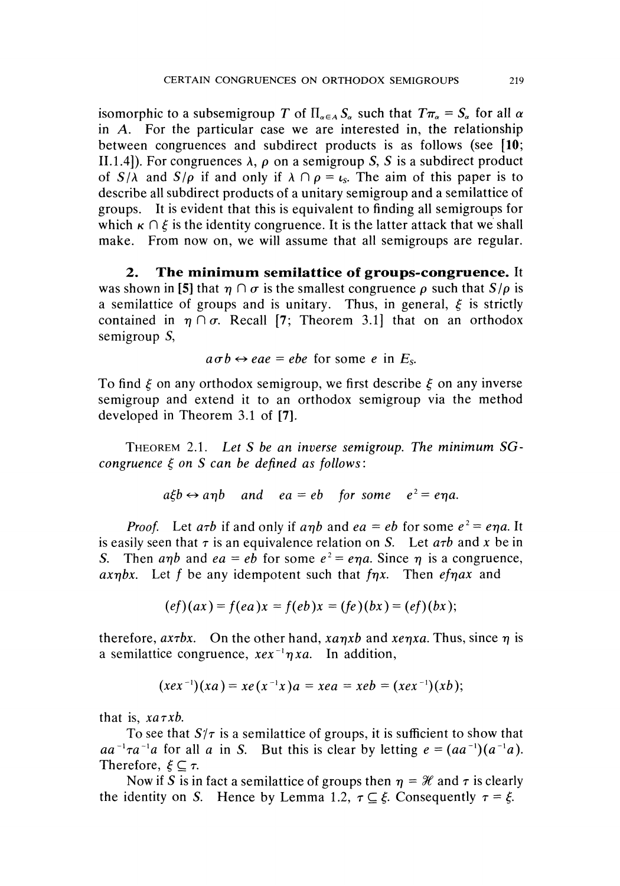isomorphic to a subsemigroup T of  $\Pi_{\alpha \in A} S_\alpha$  such that  $T\pi_\alpha = S_\alpha$  for all  $\alpha$ in *A.* For the particular case we are interested in, the relationship between congruences and subdirect products is as follows (see **[10;** II.1.4]). For congruences  $\lambda$ ,  $\rho$  on a semigroup S, S is a subdirect product of  $S/\lambda$  and  $S/\rho$  if and only if  $\lambda \cap \rho = \iota_s$ . The aim of this paper is to describe all subdirect products of a unitary semigroup and a semilattice of groups. It is evident that this is equivalent to finding all semigroups for which  $\kappa \cap \xi$  is the identity congruence. It is the latter attack that we shall make. From now on, we will assume that all semigroups are regular.

**2. The minimum semilattice of groups-congruence.** It was shown in [5] that  $\eta \cap \sigma$  is the smallest congruence  $\rho$  such that  $S/\rho$  is a semilattice of groups and is unitary. Thus, in general, *ξ* is strictly contained in  $\eta \cap \sigma$ . Recall [7; Theorem 3.1] that on an orthodox semigroup S,

$$
a\sigma b \leftrightarrow eae = ebe \text{ for some } e \text{ in } E_{s}.
$$

To find *ξ* on any orthodox semigroup, we first describe *ξ* on any inverse semigroup and extend it to an orthodox semigroup via the method developed in Theorem 3.1 of **[7].**

THEOREM 2.1. *Let S be an inverse semigroup. The minimum SGcongruence ξ on S can be defined as follows:*

$$
a\xi b \leftrightarrow a\eta b
$$
 and  $ea = eb$  for some  $e^2 = e\eta a$ .

*Proof.* Let  $a\tau b$  if and only if  $a\eta b$  and  $e a = e b$  for some  $e^2 = e \eta a$ . It is easily seen that  $\tau$  is an equivalence relation on *S*. Let  $a\tau b$  and x be in S. Then anh and  $ea = eb$  for some  $e^2 = e\eta a$ . Since  $\eta$  is a congruence, *axηbx.* Let / be any idempotent such that *fηx.* Then *efηax* and

$$
(ef)(ax) = f(ea)x = f(eb)x = (fe)(bx) = (ef)(bx);
$$

therefore, *axτbx.* On the other hand, *xaηxb* and *xeηxa.* Thus, since *η* is a semilattice congruence,  $x e x^{-1} \eta x a$ . In addition,

$$
(xex^{-1})(xa) = xe(x^{-1}x)a = xea = xeb = (xex^{-1})(xb);
$$

that is, *xaτxb.*

To see that *S'/τ* is a semilattice of groups, it is sufficient to show that  $aa^{-1}\tau a^{-1}a$  for all a in *S*. But this is clear by letting  $e = (aa^{-1})(a^{-1}a)$ . Therefore,  $\xi \subseteq \tau$ .

Now if *S* is in fact a semilattice of groups then  $\eta = \mathcal{H}$  and  $\tau$  is clearly the identity on *S*. Hence by Lemma 1.2,  $\tau \subseteq \xi$ . Consequently  $\tau = \xi$ .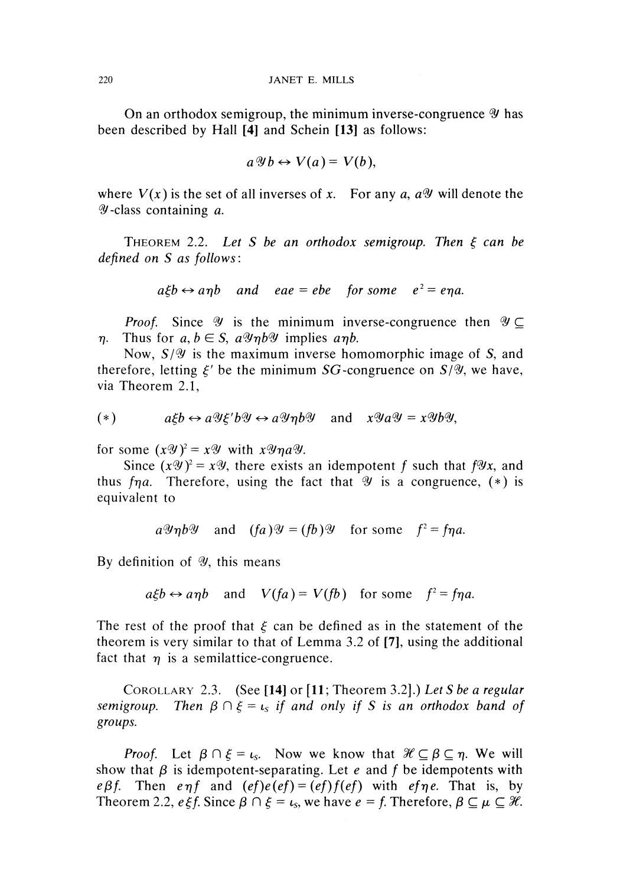On an orthodox semigroup, the minimum inverse-congruence *ty* has been described by Hall [4] and Schein [13] as follows:

$$
a \mathcal{Y} b \leftrightarrow V(a) = V(b),
$$

where  $V(x)$  is the set of all inverses of x. For any a,  $a\mathscr{Y}$  will denote the *ty* -class containing *a.*

THEOREM 2.2. *Let S be an orthodox semigroup. Then ξ can be defined on S as follows:*

$$
a\xi b \leftrightarrow a\eta b
$$
 and  $eae = ebe$  for some  $e^2 = e\eta a$ .

*Proof.* Since  $\mathcal Y$  is the minimum inverse-congruence then  $\mathcal Y \subseteq$ *η.* Thus for  $a, b \in S$ ,  $a \mathcal{Y} \eta b \mathcal{Y}$  implies  $a \eta b$ .

Now, *S/Φ* is the maximum inverse homomorphic image of S, and therefore, letting  $\xi'$  be the minimum SG-congruence on  $S/\mathscr{Y}$ , we have, via Theorem 2.1,

$$
(*) \t a\xi b \leftrightarrow a\mathcal{U}\xi' b\mathcal{U} \leftrightarrow a\mathcal{U}\eta b\mathcal{U} \text{ and } x\mathcal{U}a\mathcal{U} = x\mathcal{U}b\mathcal{U},
$$

for some  $(x\mathscr{Y})^2 = x\mathscr{Y}$  with  $x\mathscr{Y}\eta a\mathscr{Y}$ .

Since  $(x\mathscr{Y})^2 = x\mathscr{Y}$ , there exists an idempotent f such that f $\mathscr{Y}x$ , and thus *fηa.* Therefore, using the fact that *%* is a congruence, (\*) is equivalent to

$$
a\mathscr{Y}\eta b\mathscr{Y}
$$
 and  $(fa)\mathscr{Y} = (fb)\mathscr{Y}$  for some  $f^2 = f\eta a$ .

By definition of  $\mathcal{Y}$ , this means

$$
a\xi b \leftrightarrow a\eta b
$$
 and  $V(fa) = V(fb)$  for some  $f^2 = f\eta a$ .

The rest of the proof that *ξ* can be defined as in the statement of the theorem is very similar to that of Lemma 3.2 of [7], using the additional fact that  $\eta$  is a semilattice-congruence.

COROLLARY 2.3. (See [14] or [11; Theorem 3.2].) *Let S be a regular semigroup. Then β* Π *ξ = L<sup>S</sup> if and only if S is an orthodox band of groups.*

*Proof.* Let  $\beta \cap \xi = \iota_s$ . Now we know that  $\mathcal{H} \subseteq \beta \subseteq \eta$ . We will show that  $\beta$  is idempotent-separating. Let *e* and *f* be idempotents with *eβf.* Then *eηf* and  $(ef)e(ef) = (ef)f(ef)$  with *efηe.* That is, by Theorem 2.2,  $e \xi f$ . Since  $\beta \cap \xi = \iota_s$ , we have  $e = f$ . Therefore,  $\beta \subseteq \mu \subseteq \mathcal{H}$ .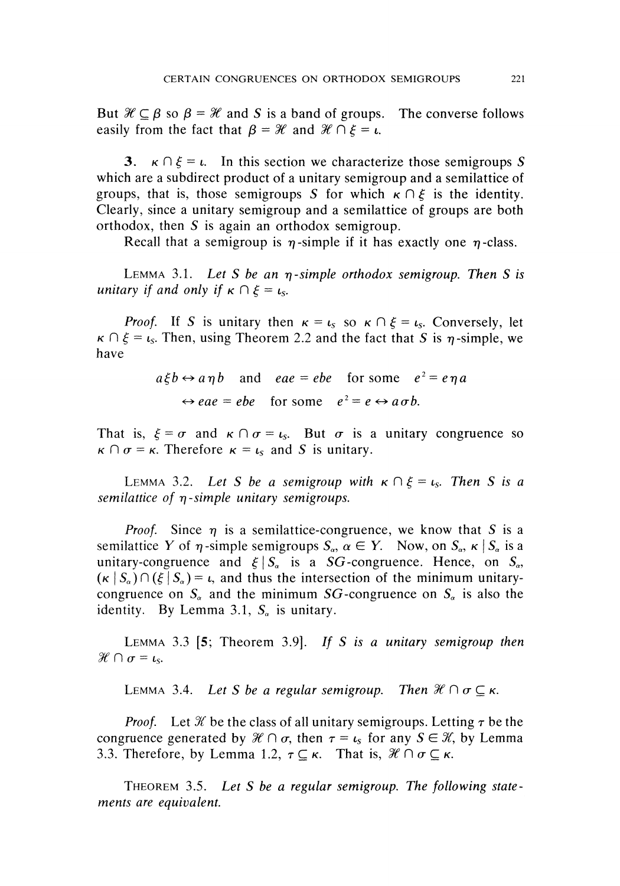But  $\mathcal{H} \subseteq \beta$  so  $\beta = \mathcal{H}$  and S is a band of groups. The converse follows easily from the fact that  $\beta = \mathcal{H}$  and  $\mathcal{H} \cap \xi = \iota$ .

3.  $\kappa \cap \xi = \iota$ . In this section we characterize those semigroups S which are a subdirect product of a unitary semigroup and a semilattice of groups, that is, those semigroups *S* for which  $\kappa \cap \xi$  is the identity. Clearly, since a unitary semigroup and a semilattice of groups are both orthodox, then *S* is again an orthodox semigroup.

Recall that a semigroup is *η* -simple if it has exactly one *η* -class.

LEMMA 3.1. *Let S be an η-simple orthodox semigroup. Then S is unitary if and only if*  $\kappa \cap \xi = \iota_s$ .

*Proof.* If *S* is unitary then  $\kappa = \iota_s$  so  $\kappa \cap \xi = \iota_s$ . Conversely, let *K Π ξ = L<sup>S</sup> .* Then, using Theorem 2.2 and the fact that *S* is *η*-simple, we have

> $a\xi b \leftrightarrow a\eta b$  and *eae* = *ebe* for some  $e^2 = e\eta a$  $\Leftrightarrow$  *eae* = *ebe* for some  $e^2 = e \leftrightarrow a \sigma b$ .

That is,  $\xi = \sigma$  and  $\kappa \cap \sigma = \iota_s$ . But  $\sigma$  is a unitary congruence so  $\kappa \cap \sigma = \kappa$ . Therefore  $\kappa = \iota_s$  and S is unitary.

LEMMA 3.2. Let S be a semigroup with  $\kappa \cap \xi = \iota_s$ . Then S is a *semilattice of η-simple unitary semigroups.*

*Proof.* Since  $\eta$  is a semilattice-congruence, we know that *S* is a semilattice Y of  $\eta$ -simple semigroups  $S_\alpha$ ,  $\alpha \in Y$ . Now, on  $S_\alpha$ ,  $\kappa | S_\alpha$  is a unitary-congruence and  $\xi | S_{\alpha}$  is a *SG*-congruence. Hence, on  $S_{\alpha}$ ,  $(\kappa | S_{\alpha}) \cap (\xi | S_{\alpha}) = \iota$ , and thus the intersection of the minimum unitarycongruence on  $S_a$  and the minimum  $SG$ -congruence on  $S_a$  is also the identity. By Lemma 3.1, *S<sup>a</sup>* is unitary.

LEMMA 3.3 [5; Theorem 3.9]. If S is a unitary semigroup then  $\mathcal{H} \cap \sigma = \iota_{\mathcal{S}}$ .

LEMMA 3.4. Let S be a regular semigroup. Then  $\mathcal{H} \cap \sigma \subseteq \kappa$ .

*Proof.* Let *K* be the class of all unitary semigroups. Letting *τ* be the congruence generated by  $\mathcal{H} \cap \sigma$ , then  $\tau = \iota_s$  for any  $S \in \mathcal{K}$ , by Lemma 3.3. Therefore, by Lemma 1.2,  $\tau \subseteq \kappa$ . That is,  $\mathcal{H} \cap \sigma \subseteq \kappa$ .

THEOREM 3.5. L^ *S be a regular semigroup. The following statements are equivalent.*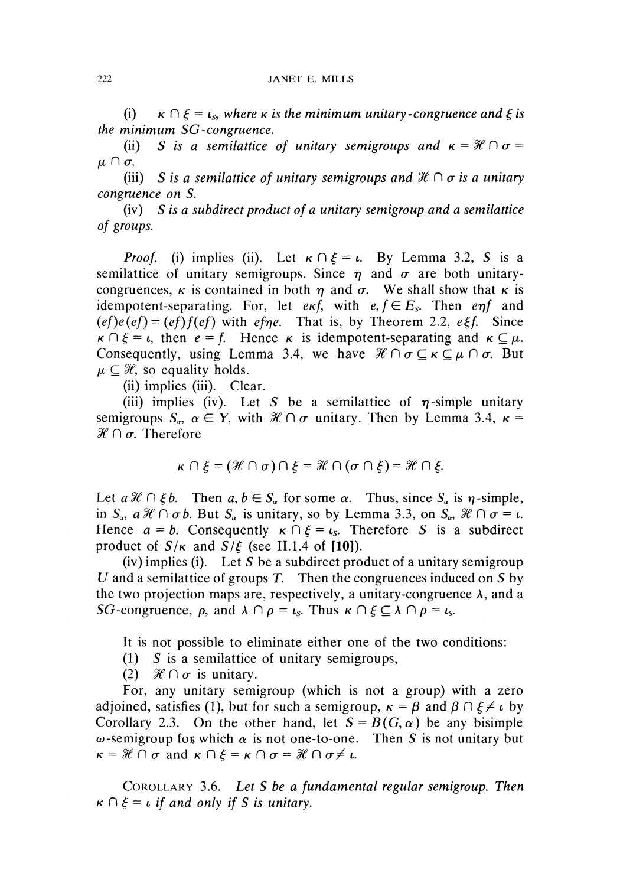(i)  $\kappa \cap \xi = \iota_s$ , where  $\kappa$  is the minimum unitary-congruence and  $\xi$  is *the minimum SG-congruence.*

(ii) *S* is a semilattice of unitary semigroups and  $\kappa = \mathcal{H} \cap \sigma =$ *μΠσ.*

(iii) *S is a semilattice of unitary semigroups and X* Π *σ is a unitary congruence on S.*

(iv) *S is a subdirect product of a unitary semigroup and a semilattice of groups.*

*Proof.* (i) implies (ii). Let  $\kappa \cap \xi = \iota$ . By Lemma 3.2, S is a semilattice of unitary semigroups. Since  $\eta$  and  $\sigma$  are both unitarycongruences,  $\kappa$  is contained in both  $\eta$  and  $\sigma$ . We shall show that  $\kappa$  is idempotent-separating. For, let  $e \kappa f$ , with  $e, f \in E_s$ . Then  $e \eta f$  and  $(ef)e(ef) = (ef)f(ef)$  with efpe. That is, by Theorem 2.2, eξf. Since  $\kappa \cap \xi = \iota$ , then  $e = f$ . Hence  $\kappa$  is idempotent-separating and  $\kappa \subseteq \mu$ . Consequently, using Lemma 3.4, we have  $\mathcal{H} \cap \sigma \subseteq \kappa \subseteq \mu \cap \sigma$ . But  $\mu \subseteq \mathcal{H}$ , so equality holds.

(ii) implies (iii). Clear.

(iii) implies (iv). Let *S* be a semilattice of  $\eta$ -simple unitary semigroups  $S_\alpha$ ,  $\alpha \in Y$ , with  $\mathcal{H} \cap \sigma$  unitary. Then by Lemma 3.4,  $\kappa =$ *%Πσ.* Therefore

$$
\kappa \cap \xi = (\mathcal{H} \cap \sigma) \cap \xi = \mathcal{H} \cap (\sigma \cap \xi) = \mathcal{H} \cap \xi.
$$

Let  $a \mathcal{H} \cap \xi b$ . Then  $a, b \in S_a$  for some  $\alpha$ . Thus, since  $S_a$  is  $\eta$ -simple, in  $S_{\alpha}$ ,  $a\mathcal{H} \cap \sigma b$ . But  $S_{\alpha}$  is unitary, so by Lemma 3.3, on  $S_{\alpha}$ ,  $\mathcal{H} \cap \sigma = \iota$ . Hence  $a = b$ . Consequently  $\kappa \cap \xi = t_s$ . Therefore S is a subdirect product of  $S/\kappa$  and  $S/\xi$  (see II.1.4 of [10]).

(iv) implies (i). Let *S* be a subdirect product of a unitary semigroup *U* and a semilattice of groups *T.* Then the congruences induced on 5 by the two projection maps are, respectively, a unitary-congruence  $\lambda$ , and a *SG*-congruence,  $\rho$ , and  $\lambda \cap \rho = \iota_s$ . Thus  $\kappa \cap \xi \subseteq \lambda \cap \rho = \iota_s$ .

It is not possible to eliminate either one of the two conditions:

- (1) *S* is a semilattice of unitary semigroups,
- (2)  $\mathcal{H} \cap \sigma$  is unitary.

For, any unitary semigroup (which is not a group) with a zero adjoined, satisfies (1), but for such a semigroup,  $\kappa = \beta$  and  $\beta \cap \xi \neq \iota$  by Corollary 2.3. On the other hand, let  $S = B(G, \alpha)$  be any bisimple  $ω$ -semigroup for which  $α$  is not one-to-one. Then *S* is not unitary but  $\kappa = \mathcal{H} \cap \sigma$  and  $\kappa \cap \xi = \kappa \cap \sigma = \mathcal{H} \cap \sigma \neq \iota$ .

COROLLARY 3.6. *Let S be a fundamental regular semigroup. Then*  $\kappa \cap \xi = \iota$  *if and only if S is unitary.*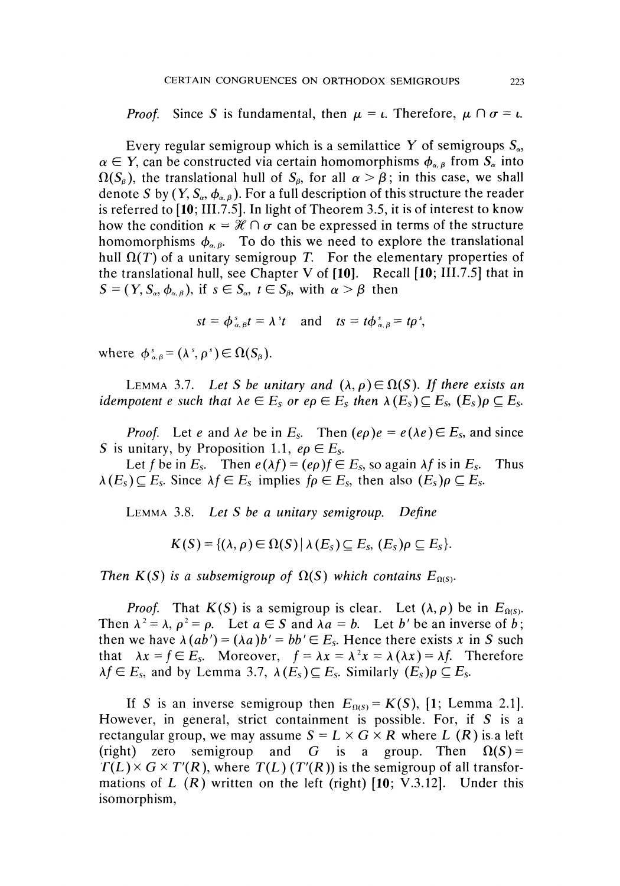*Proof.* Since S is fundamental, then  $\mu = \iota$ . Therefore,  $\mu \cap \sigma = \iota$ .

Every regular semigroup which is a semilattice Y of semigroups  $S_{\alpha}$ ,  $\alpha \in Y$ , can be constructed via certain homomorphisms  $\phi_{\alpha,\beta}$  from  $S_{\alpha}$  into *f*(*S<sub>β</sub>*), the translational hull of *S<sub>β</sub>*, for all  $\alpha > \beta$ ; in this case, we shall denote S by  $(Y, S_{\alpha}, \phi_{\alpha, \beta})$ . For a full description of this structure the reader is referred to [10; III.7.5]. In light of Theorem 3.5, it is of interest to know how the condition  $\kappa = \mathcal{H} \cap \sigma$  can be expressed in terms of the structure homomorphisms  $\phi_{\alpha,\beta}$ . To do this we need to explore the translational hull  $Ω(T)$  of a unitary semigroup T. For the elementary properties of the translational hull, see Chapter V of  $[10]$ . Recall  $[10; III.7.5]$  that in  $S = (Y, S_{\alpha}, \phi_{\alpha, \beta})$ , if  $s \in S_{\alpha}, t \in S_{\beta}$ , with  $\alpha > \beta$  then

$$
st = \phi_{\alpha,\beta}^s t = \lambda^s t \quad \text{and} \quad ts = t\phi_{\alpha,\beta}^s = t\rho^s,
$$

where  $\phi_{\alpha,\beta}^s = (\lambda^s, \rho^s) \in \Omega(S_\beta)$ .

LEMMA 3.7. Let S be unitary and  $(\lambda, \rho) \in \Omega(S)$ . If there exists an *idempotent e such that*  $\lambda e \in E_s$  *or ep*  $\in E_s$  *then*  $\lambda(E_s) \subseteq E_s$ ,  $(E_s) \rho \subseteq E_s$ .

Let *e* and  $\lambda e$  be in  $E_s$ . Then  $(e\rho)e = e(\lambda e) \in E_s$ , and since S is unitary, by Proposition 1.1,  $e\rho \in E_s$ .

Let f be in  $E_s$ . Then  $e(\lambda f) = (e\rho)f \in E_s$ , so again  $\lambda f$  is in  $E_s$ . . Thus  $\lambda(E_s) \subseteq E_s$ . Since  $\lambda f \in E_s$  implies  $f \rho \in E_s$ , then also  $(E_s) \rho \subseteq E_s$ .

LEMMA 3.8. *Let S be a unitary semigroup. Define*

$$
K(S) = \{(\lambda, \rho) \in \Omega(S) \mid \lambda(E_s) \subseteq E_s, (E_s)\rho \subseteq E_s\}.
$$

*is a subsemigroup of*  $\Omega(S)$  which contains  $E_{\Omega(S)}$ .

*Proof.* That  $K(S)$  is a semigroup is clear. Let  $(\lambda, \rho)$  be in  $E_{\Omega(S)}$ . Then  $\lambda^2 = \lambda$ ,  $\rho^2 = \rho$ . Let  $a \in S$  and  $\lambda a = b$ . Let *b'* be an inverse of *b* then we have  $\lambda(ab') = (\lambda a)b' = bb' \in E_s$ . Hence there exists x in S such that  $\lambda x = f \in E_s$ . Moreover,  $f = \lambda x = \lambda^2 x = \lambda (\lambda x) = \lambda f$ . Therefore  $\lambda f \in E_s$ , and by Lemma 3.7,  $\lambda(E_s) \subseteq E_s$ . Similarly  $(E_s) \rho \subseteq E_s$ .

If *S* is an inverse semigroup then  $E_{\Omega(S)} = K(S)$ , [1; Lemma 2.1]. However, in general, strict containment is possible. For, if *S* is a rectangular group, we may assume  $S = L \times G \times R$  where L (R) is a left (right) zero semigroup and *G* is a group. Then  $\Omega(S) =$  $T(L) \times G \times T'(R)$ , where  $T(L)$  ( $T'(R)$ ) is the semigroup of all transformations of *L (R)* written on the left (right) [10; V.3.12]. Under this isomorphism,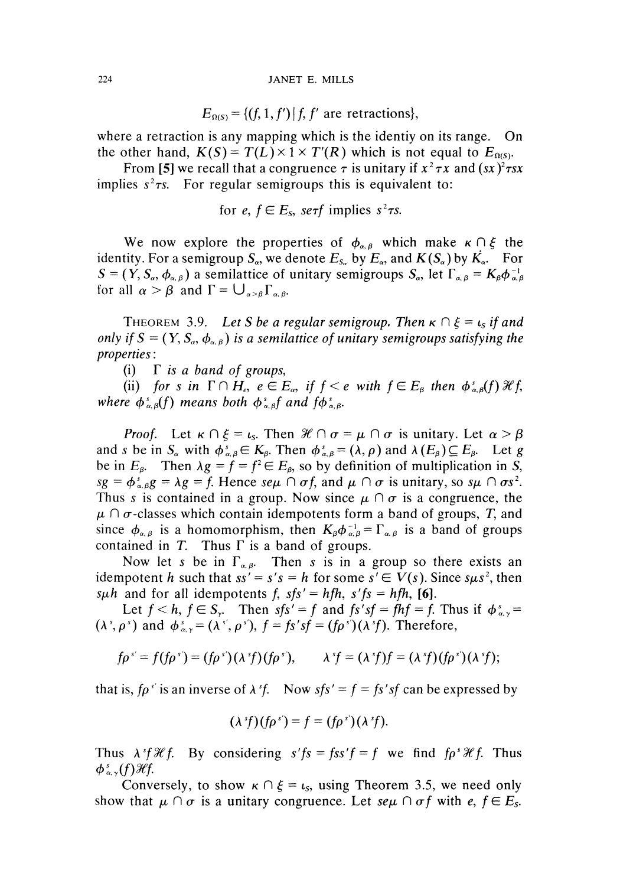#### 224 JANET E. MILLS

 $E_{\Omega(S)} = \{ (f, 1, f') \mid f, f' \text{ are retractions} \},$ 

where a retraction is any mapping which is the identiy on its range. On the other hand,  $K(S) = T(L) \times 1 \times T'(R)$  which is not equal to  $E_{\Omega(S)}$ .

From [5] we recall that a congruence  $\tau$  is unitary if  $x^2 \tau x$  and  $(sx)^2 \tau s x$ implies  $s^2 \tau s$ . For regular semigroups this is equivalent to:

for 
$$
e, f \in E_s
$$
,  $se\tau f$  implies  $s^2 \tau s$ .

We now explore the properties of  $\phi_{\alpha,\beta}$  which make  $\kappa \cap \xi$  the identity. For a semigroup  $S_{\alpha}$ , we denote  $E_{S_{\alpha}}$  by  $E_{\alpha}$ , and  $K(S_{\alpha})$  by  $\dot{K_{\alpha}}$ . For  $S = (Y, S_\alpha, \phi_{\alpha,\beta})$  a semilattice of unitary semigroups  $S_\alpha$ , let  $\Gamma_{\alpha,\beta} = K_\beta \phi_{\alpha,\beta}^{-1}$ for all  $\alpha > \beta$  and  $\Gamma = \bigcup_{\alpha > \beta} \Gamma_{\alpha, \beta}$ .

THEOREM 3.9. Let S be a regular semigroup. Then  $\kappa \cap \xi = \iota_s$  if and *only if*  $S = (Y, S_{\alpha}, \phi_{\alpha \beta})$  is a semilattice of unitary semigroups satisfying the *properties*:

(i) Γ *is a band of groups,*

(ii) for s in  $\Gamma \cap H_e$ ,  $e \in E_\alpha$ , if  $f < e$  with  $f \in E_\beta$  then  $\phi_{\alpha,\beta}^s(f) \mathcal{H} f$ , *where*  $\phi_{\alpha,\beta}^s(f)$  means both  $\phi_{\alpha,\beta}^s f$  and  $f\phi_{\alpha,\beta}^s$ .

*Proof.* Let  $\kappa \cap \xi = \iota_s$ . Then  $\mathcal{H} \cap \sigma = \mu \cap \sigma$  is unitary. Let  $\alpha > \beta$ and *s* be in  $S_\alpha$  with  $\phi_{\alpha,\beta}^s \in K_\beta$ . Then  $\phi_{\alpha,\beta}^s = (\lambda, \rho)$  and  $\lambda(E_\beta) \subseteq E_\beta$ . Let g be in  $E_{\beta}$ . Then  $\lambda g = f = f^2 \in E_{\beta}$ , so by definition of multiplication in S,  $sg = \phi_{\alpha,\beta}^s g = \lambda g = f$ . Hence  $se\mu \cap \sigma f$ , and  $\mu \cap \sigma$  is unitary, so  $s\mu \cap \sigma s^2$ . Thus s is contained in a group. Now since  $\mu \cap \sigma$  is a congruence, the  $\mu \cap \sigma$ -classes which contain idempotents form a band of groups, T, and since  $\phi_{\alpha,\beta}$  is a homomorphism, then  $K_{\beta}\phi_{\alpha,\beta}^{-1} = \Gamma_{\alpha,\beta}$  is a band of groups contained in *T.* Thus Γ is a band of groups.

Now let *s* be in  $\Gamma_{\alpha,\beta}$ . Then *s* is in a group so there exists an idempotent *h* such that  $ss' = s's = h$  for some  $s' \in V(s)$ . Since  $s\mu s^2$ , then such and for all idempotents f,  $sfs' = hfh$ ,  $s'fs = hfh$ , [6].

Let  $f < h$ ,  $f \in S_{\gamma}$ . Then  $sfs' = f$  and  $fs'sf = fhf = f$ . Thus if  $\phi_{\alpha,\gamma}^s =$  $(\lambda^s, \rho^s)$  and  $\phi^s_{\alpha, \gamma} = (\lambda^{s'}, \rho^{s'})$ ,  $f = fs'sf = (f\rho^s)(\lambda^s f)$ . Therefore,

$$
f \rho^{s'} = f(f \rho^{s'}) = (f \rho^{s'})(\lambda^{s} f)(f \rho^{s'}), \qquad \lambda^{s} f = (\lambda^{s} f) f = (\lambda^{s} f)(f \rho^{s'})(\lambda^{s} f);
$$

that is,  $f \rho^{\gamma}$  is an inverse of  $\lambda^{\gamma} f$ . Now  $s f s' = f = f s' s f$  can be expressed by

$$
(\lambda^s f)(f\rho^s) = f = (f\rho^s)(\lambda^s f).
$$

Thus  $\lambda$ <sup>*sf H*(*f*. By considering *s'fs* = *fss'f* = *f* we find *fp'Hf*. Thus</sup>  $\phi_{\alpha,\gamma}(f)$  Hf.

Conversely, to show  $\kappa \cap \xi = t_s$ , using Theorem 3.5, we need only show that  $\mu \cap \sigma$  is a unitary congruence. Let  $\text{se}\mu \cap \sigma f$  with  $e, f \in E_s$ .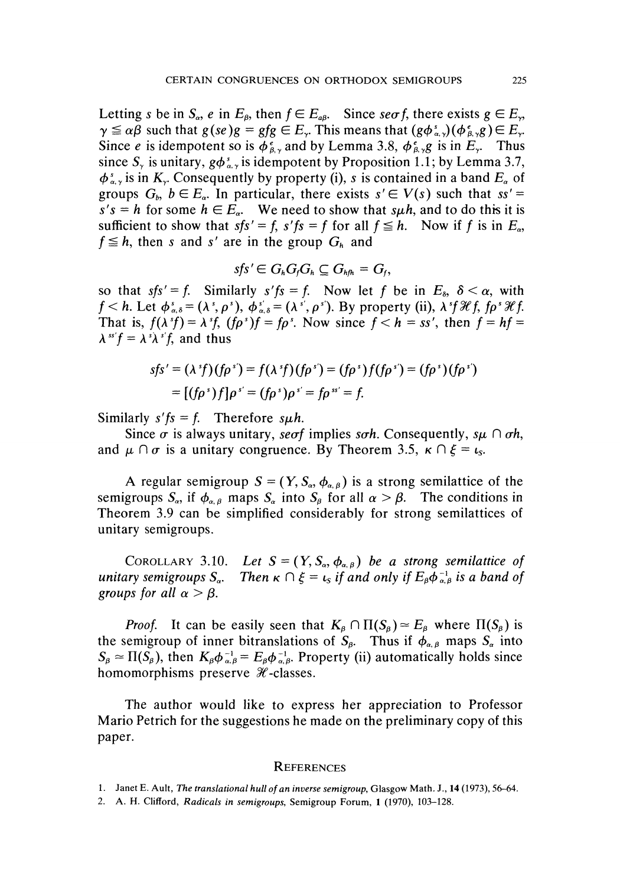Letting *s* be in  $S_a$ , *e* in  $E_\beta$ , then  $f \in E_{a\beta}$ . Since  $\sec f$ , there exists  $g \in E_\gamma$ ,  $\gamma \leq \alpha \beta$  such that  $g(se)g = gfg \in E$ , This means that  $(g\phi_{\alpha,\gamma}^s)(\phi_{\beta,\gamma}^e) \in E_{\gamma}$ . Since *e* is idempotent so is  $\phi_{\beta,\gamma}^e$  and by Lemma 3.8,  $\phi_{\beta,\gamma}^e$  is in  $E_{\gamma}$ . Thus since  $S_{\gamma}$  is unitary,  $g\phi_{\alpha,\gamma}^{s}$  is idempotent by Proposition 1.1; by Lemma 3.7,  $S_{\alpha,\gamma}$  is in  $K_{\gamma}$ . Consequently by property (i), *s* is contained in a band  $E_{\alpha}$  of groups  $G_b$ ,  $b \in E_a$ . In particular, there exists  $s' \in V(s)$  such that  $ss' =$  $s's = h$  for some  $h \in E_{\alpha}$ . We need to show that s*μh*, and to do this it is sufficient to show that  $sfs' = f$ ,  $s'fs = f$  for all  $f \leq h$ . Now if f is in  $E_a$ ,  $f \leq h$ , then *s* and *s'* are in the group  $G_h$  and

$$
sfs' \in G_h G_f G_h \subseteq G_{hfh} = G_f,
$$

so that  $sfs' = f$ . Similarly  $s'fs = f$ . Now let f be in  $E_s$ ,  $\delta < \alpha$ , with  $f < h$ . Let  $\phi$ <sup>2</sup>  $a_{\lambda,\delta} = (\lambda^s, \rho^s), \phi_{\alpha,\delta}^s = (\lambda^s, \rho^s)$ . By property (ii),  $\lambda^s f \mathcal{H} f$ ,  $f \rho^s \mathcal{H} f$ . That is,  $f(\lambda^s f) = \lambda^s f$ ,  $(f \rho^s) f = f \rho^s$ . Now since  $f < h = ss'$ , then  $f = hf =$  $\lambda^{ss'} f = \lambda^{s} \lambda^{s'} f$ , and thus

$$
sfs' = (\lambda^s f)(f\rho^s) = f(\lambda^s f)(f\rho^s) = (f\rho^s) f(f\rho^s) = (f\rho^s)(f\rho^s)
$$
  
= [(f\rho^s) f]\rho^s = (f\rho^s)\rho^s = f\rho^{ss'} = f.

Similarly  $s'fs = f$ . Therefore  $s\mu h$ .

Since  $\sigma$  is always unitary, *seof* implies *soh.* Consequently,  $s\mu \cap \sigma h$ , and  $\mu \cap \sigma$  is a unitary congruence. By Theorem 3.5,  $\kappa \cap \xi = t_s$ .

A regular semigroup  $S = (Y, S_\alpha, \phi_{\alpha,\beta})$  is a strong semilattice of the semigroups  $S_\alpha$ , if  $\phi_{\alpha,\beta}$  maps  $S_\alpha$  into  $S_\beta$  for all  $\alpha > \beta$ . The conditions in Theorem 3.9 can be simplified considerably for strong semilattices of unitary semigroups.

COROLLARY 3.10. Let  $S = (Y, S_\alpha, \phi_{\alpha,\beta})$  be a strong semilattice of *unitary semigroups S<sup>a</sup> a*. Then  $\kappa \cap \xi = \iota_s$  if and only if  $E_\beta \phi_{\alpha,\beta}^{-1}$  is a band of *groups for all*  $\alpha > \beta$ .

*Proof.* It can be easily seen that  $K_{\beta} \cap \Pi(S_{\beta}) \simeq E_{\beta}$  where  $\Pi(S_{\beta})$  is the semigroup of inner bitranslations of  $S_\beta$ . Thus if  $\phi_{\alpha,\beta}$  maps  $S_\alpha$  into  $S_{\beta} \simeq \Pi(S_{\beta})$ , then  $K_{\beta} \phi_{\alpha,\beta}^{-1} = E_{\beta} \phi_{\alpha,\beta}^{-1}$ . Property (ii) automatically holds since homomorphisms preserve  $\mathcal H$ -classes.

The author would like to express her appreciation to Professor Mario Petrich for the suggestions he made on the preliminary copy of this paper.

#### **REFERENCES**

<sup>1.</sup> Janet E. Ault, *The translational hull of an inverse semigroup,* Glasgow Math. J., 14 (1973), 56-64.

<sup>2.</sup> A. H. Clifford, *Radicals in semigroups,* Semigroup Forum, 1 (1970), 103-128.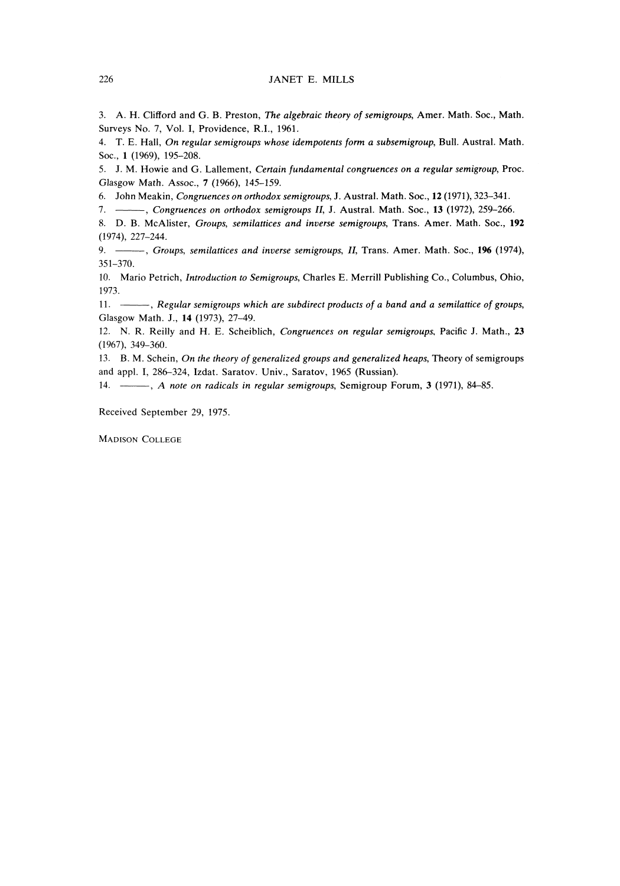#### 226 JANET E. MILLS

3. A. H. Clifford and G. B. Preston, *The algebraic theory of semigroups,* Amer. Math. Soc, Math. Surveys No. 7, Vol. I, Providence, R.I., 1961.

**4. T. E. Hall,** *On regular semigroups whose idempotents form a subsemigroup,* **Bull. Austral. Math.** Soc, 1 (1969), 195-208.

**5. J. M. Howie and G. Lallement,** *Certain fundamental congruences on a regular semigroup,* **Proc.** Glasgow Math. Assoc, 7 (1966), 145-159.

6. John Meakin, *Congruences on orthodox semigroups,* J. Austral. Math. Soc, 12 (1971), 323-341.

7. , *Congruences on orthodox semigroups II,* J. Austral. Math. Soc, 13 (1972), 259-266.

**8. D. B. McAlister,** *Groups, semilattices and inverse semigroups,* **Trans. Amer. Math. Soc, 192** (1974), 227-244.

**9. ,** *Groups, semilattices and inverse semigroups, II,* **Trans. Amer. Math. Soc, 196 (1974),** 351-370.

10. Mario Petrich, *Introduction to Semigroups,* Charles E. Merrill Publishing Co., Columbus, Ohio, 1973.

11. -- Regular semigroups which are subdirect products of a band and a semilattice of groups, Glasgow Math. J., 14 (1973), 27-49.

12. N. R. Reilly and H. E. Scheiblich, *Congruences on regular semigroups.* Pacific J. Math., 23 (1967), 349-360.

**13. B. M. Schein,** *On the theory of generalized groups and generalized heaps,* **Theory of semigroups** and appl. I, 286-324, Izdat. Saratov. Univ., Saratov, 1965 (Russian).

**14. ,** *A note on radicals in regular semigroups,* **Semigroup Forum, 3 (1971), 84-85.**

Received September 29, 1975.

MADISON COLLEGE